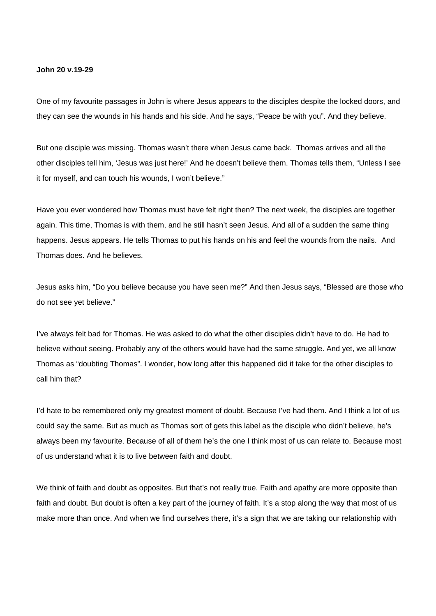## **John 20 v.19-29**

One of my favourite passages in John is where Jesus appears to the disciples despite the locked doors, and they can see the wounds in his hands and his side. And he says, "Peace be with you". And they believe.

But one disciple was missing. Thomas wasn't there when Jesus came back. Thomas arrives and all the other disciples tell him, 'Jesus was just here!' And he doesn't believe them. Thomas tells them, "Unless I see it for myself, and can touch his wounds, I won't believe."

Have you ever wondered how Thomas must have felt right then? The next week, the disciples are together again. This time, Thomas is with them, and he still hasn't seen Jesus. And all of a sudden the same thing happens. Jesus appears. He tells Thomas to put his hands on his and feel the wounds from the nails. And Thomas does. And he believes.

Jesus asks him, "Do you believe because you have seen me?" And then Jesus says, "Blessed are those who do not see yet believe."

I've always felt bad for Thomas. He was asked to do what the other disciples didn't have to do. He had to believe without seeing. Probably any of the others would have had the same struggle. And yet, we all know Thomas as "doubting Thomas". I wonder, how long after this happened did it take for the other disciples to call him that?

I'd hate to be remembered only my greatest moment of doubt. Because I've had them. And I think a lot of us could say the same. But as much as Thomas sort of gets this label as the disciple who didn't believe, he's always been my favourite. Because of all of them he's the one I think most of us can relate to. Because most of us understand what it is to live between faith and doubt.

We think of faith and doubt as opposites. But that's not really true. Faith and apathy are more opposite than faith and doubt. But doubt is often a key part of the journey of faith. It's a stop along the way that most of us make more than once. And when we find ourselves there, it's a sign that we are taking our relationship with